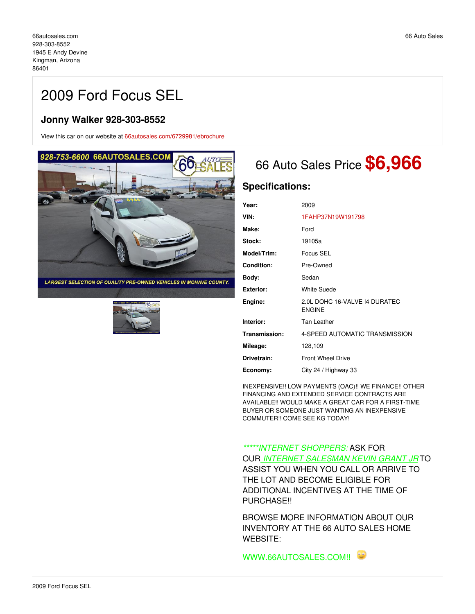# 2009 Ford Focus SEL

## **Jonny Walker 928-303-8552**

View this car on our website at [66autosales.com/6729981/ebrochure](https://66autosales.com/vehicle/6729981/2009-ford-focus-sel-kingman-arizona-86401/6729981/ebrochure)





# <sup>66</sup> Auto Sales Price **\$6,966**

## **Specifications:**

| Year:              | 2009                                           |
|--------------------|------------------------------------------------|
| VIN:               | 1FAHP37N19W191798                              |
| Make:              | Ford                                           |
| Stock:             | 19105a                                         |
| <b>Model/Trim:</b> | Focus SEL                                      |
| <b>Condition:</b>  | Pre-Owned                                      |
| Body:              | Sedan                                          |
| Exterior:          | <b>White Suede</b>                             |
| Engine:            | 2.0L DOHC 16-VALVE 14 DURATEC<br><b>ENGINE</b> |
| Interior:          | Tan Leather                                    |
| Transmission:      | 4-SPEED AUTOMATIC TRANSMISSION                 |
| Mileage:           | 128,109                                        |
| Drivetrain:        | <b>Front Wheel Drive</b>                       |
| Economy:           | City 24 / Highway 33                           |

INEXPENSIVE!! LOW PAYMENTS (OAC)!! WE FINANCE!! OTHER FINANCING AND EXTENDED SERVICE CONTRACTS ARE AVAILABLE!! WOULD MAKE A GREAT CAR FOR A FIRST-TIME BUYER OR SOMEONE JUST WANTING AN INEXPENSIVE COMMUTER!! COME SEE KG TODAY!

*\*\*\*\*\*INTERNET SHOPPERS:* ASK FOR

OUR *INTERNET SALESMAN KEVIN GRANT JR* TO ASSIST YOU WHEN YOU CALL OR ARRIVE TO THE LOT AND BECOME ELIGIBLE FOR ADDITIONAL INCENTIVES AT THE TIME OF PURCHASE!!

BROWSE MORE INFORMATION ABOUT OUR INVENTORY AT THE 66 AUTO SALES HOME WEBSITE:

WWW.66AUTOSALES.COM!!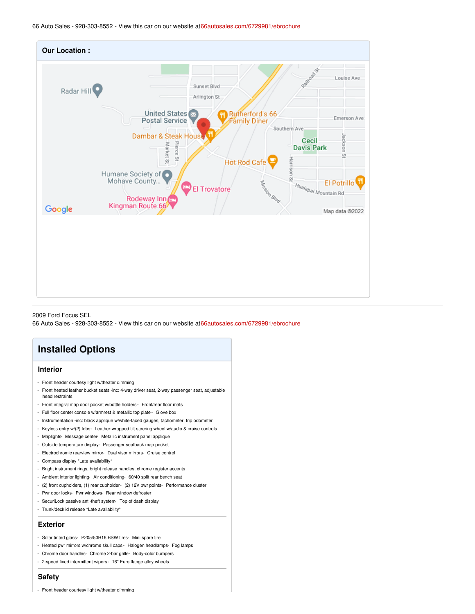66 Auto Sales - 928-303-8552 - View this car on our website a[t66autosales.com/6729981/ebrochure](https://66autosales.com/vehicle/6729981/2009-ford-focus-sel-kingman-arizona-86401/6729981/ebrochure)



2009 Ford Focus SEL

66 Auto Sales - 928-303-8552 - View this car on our website a[t66autosales.com/6729981/ebrochure](https://66autosales.com/vehicle/6729981/2009-ford-focus-sel-kingman-arizona-86401/6729981/ebrochure)

## **Installed Options**

### **Interior**

- Front header courtesy light w/theater dimming
- Front heated leather bucket seats -inc: 4-way driver seat, 2-way passenger seat, adjustable head restraints
- Front integral map door pocket w/bottle holders Front/rear floor mats
- Full floor center console w/armrest & metallic top plate Glove box
- Instrumentation -inc: black applique w/white-faced gauges, tachometer, trip odometer
- Keyless entry w/(2) fobs- Leather-wrapped tilt steering wheel w/audio & cruise controls
- Maplights- Message center- Metallic instrument panel applique
- Outside temperature display- Passenger seatback map pocket
- Electrochromic rearview mirror- Dual visor mirrors- Cruise control
- Compass display \*Late availability\*
- Bright instrument rings, bright release handles, chrome register accents
- Ambient interior lighting- Air conditioning- 60/40 split rear bench seat
- (2) front cupholders, (1) rear cupholder- (2) 12V pwr points- Performance cluster
- Pwr door locks- Pwr windows- Rear window defroster
- SecuriLock passive anti-theft system- Top of dash display
- Trunk/decklid release \*Late availability\*

#### **Exterior**

- Solar tinted glass- P205/50R16 BSW tires- Mini spare tire
- Heated pwr mirrors w/chrome skull caps Halogen headlamps- Fog lamps
- Chrome door handles- Chrome 2-bar grille- Body-color bumpers
- 2-speed fixed intermittent wipers- 16" Euro flange alloy wheels

#### **Safety**

- Front header courtesy light w/theater dimming